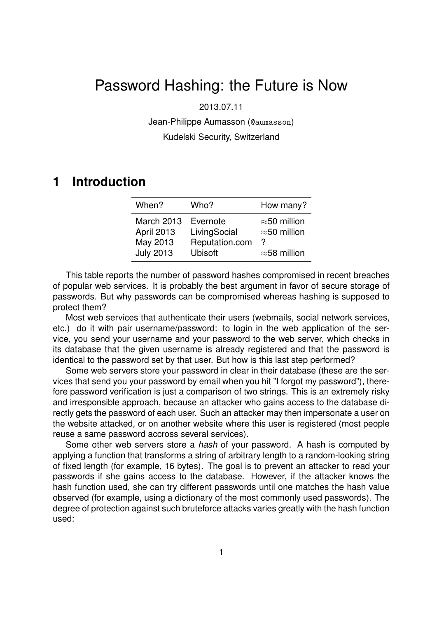# Password Hashing: the Future is Now

2013.07.11

Jean-Philippe Aumasson (@aumasson)

Kudelski Security, Switzerland

# **1 Introduction**

| When?             | Who?           | How many?            |
|-------------------|----------------|----------------------|
| <b>March 2013</b> | Evernote       | $\approx$ 50 million |
| April 2013        | LivingSocial   | $\approx$ 50 million |
| May 2013          | Reputation.com | 2                    |
| <b>July 2013</b>  | <b>Ubisoft</b> | $\approx$ 58 million |

This table reports the number of password hashes compromised in recent breaches of popular web services. It is probably the best argument in favor of secure storage of passwords. But why passwords can be compromised whereas hashing is supposed to protect them?

Most web services that authenticate their users (webmails, social network services, etc.) do it with pair username/password: to login in the web application of the service, you send your username and your password to the web server, which checks in its database that the given username is already registered and that the password is identical to the password set by that user. But how is this last step performed?

Some web servers store your password in clear in their database (these are the services that send you your password by email when you hit "I forgot my password"), therefore password verification is just a comparison of two strings. This is an extremely risky and irresponsible approach, because an attacker who gains access to the database directly gets the password of each user. Such an attacker may then impersonate a user on the website attacked, or on another website where this user is registered (most people reuse a same password accross several services).

Some other web servers store a *hash* of your password. A hash is computed by applying a function that transforms a string of arbitrary length to a random-looking string of fixed length (for example, 16 bytes). The goal is to prevent an attacker to read your passwords if she gains access to the database. However, if the attacker knows the hash function used, she can try different passwords until one matches the hash value observed (for example, using a dictionary of the most commonly used passwords). The degree of protection against such bruteforce attacks varies greatly with the hash function used: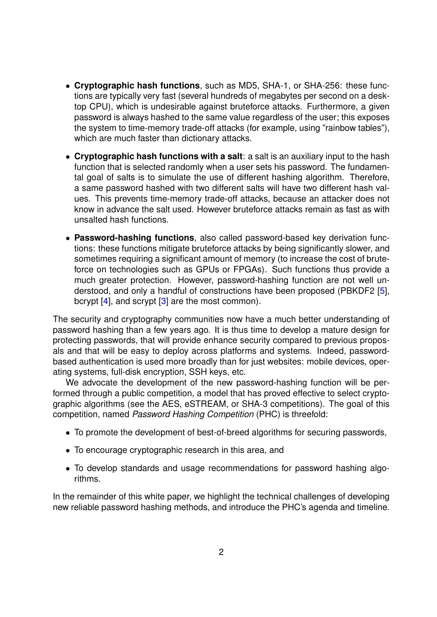- **Cryptographic hash functions**, such as MD5, SHA-1, or SHA-256: these functions are typically very fast (several hundreds of megabytes per second on a desktop CPU), which is undesirable against bruteforce attacks. Furthermore, a given password is always hashed to the same value regardless of the user; this exposes the system to time-memory trade-off attacks (for example, using "rainbow tables"), which are much faster than dictionary attacks.
- **Cryptographic hash functions with a salt**: a salt is an auxiliary input to the hash function that is selected randomly when a user sets his password. The fundamental goal of salts is to simulate the use of different hashing algorithm. Therefore, a same password hashed with two different salts will have two different hash values. This prevents time-memory trade-off attacks, because an attacker does not know in advance the salt used. However bruteforce attacks remain as fast as with unsalted hash functions.
- **Password-hashing functions**, also called password-based key derivation functions: these functions mitigate bruteforce attacks by being significantly slower, and sometimes requiring a significant amount of memory (to increase the cost of bruteforce on technologies such as GPUs or FPGAs). Such functions thus provide a much greater protection. However, password-hashing function are not well understood, and only a handful of constructions have been proposed (PBKDF2 [\[5\]](#page-5-0), bcrypt [\[4\]](#page-5-1), and scrypt [\[3\]](#page-5-2) are the most common).

The security and cryptography communities now have a much better understanding of password hashing than a few years ago. It is thus time to develop a mature design for protecting passwords, that will provide enhance security compared to previous proposals and that will be easy to deploy across platforms and systems. Indeed, passwordbased authentication is used more broadly than for just websites: mobile devices, operating systems, full-disk encryption, SSH keys, etc.

We advocate the development of the new password-hashing function will be performed through a public competition, a model that has proved effective to select cryptographic algorithms (see the AES, eSTREAM, or SHA-3 competitions). The goal of this competition, named *Password Hashing Competition* (PHC) is threefold:

- To promote the development of best-of-breed algorithms for securing passwords,
- To encourage cryptographic research in this area, and
- To develop standards and usage recommendations for password hashing algorithms.

In the remainder of this white paper, we highlight the technical challenges of developing new reliable password hashing methods, and introduce the PHC's agenda and timeline.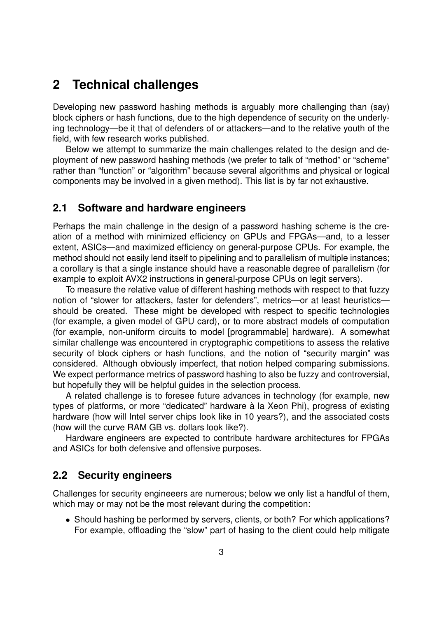# **2 Technical challenges**

Developing new password hashing methods is arguably more challenging than (say) block ciphers or hash functions, due to the high dependence of security on the underlying technology—be it that of defenders of or attackers—and to the relative youth of the field, with few research works published.

Below we attempt to summarize the main challenges related to the design and deployment of new password hashing methods (we prefer to talk of "method" or "scheme" rather than "function" or "algorithm" because several algorithms and physical or logical components may be involved in a given method). This list is by far not exhaustive.

### **2.1 Software and hardware engineers**

Perhaps the main challenge in the design of a password hashing scheme is the creation of a method with minimized efficiency on GPUs and FPGAs—and, to a lesser extent, ASICs—and maximized efficiency on general-purpose CPUs. For example, the method should not easily lend itself to pipelining and to parallelism of multiple instances; a corollary is that a single instance should have a reasonable degree of parallelism (for example to exploit AVX2 instructions in general-purpose CPUs on legit servers).

To measure the relative value of different hashing methods with respect to that fuzzy notion of "slower for attackers, faster for defenders", metrics—or at least heuristics should be created. These might be developed with respect to specific technologies (for example, a given model of GPU card), or to more abstract models of computation (for example, non-uniform circuits to model [programmable] hardware). A somewhat similar challenge was encountered in cryptographic competitions to assess the relative security of block ciphers or hash functions, and the notion of "security margin" was considered. Although obviously imperfect, that notion helped comparing submissions. We expect performance metrics of password hashing to also be fuzzy and controversial, but hopefully they will be helpful guides in the selection process.

A related challenge is to foresee future advances in technology (for example, new types of platforms, or more "dedicated" hardware à la Xeon Phi), progress of existing hardware (how will Intel server chips look like in 10 years?), and the associated costs (how will the curve RAM GB vs. dollars look like?).

Hardware engineers are expected to contribute hardware architectures for FPGAs and ASICs for both defensive and offensive purposes.

### **2.2 Security engineers**

Challenges for security engineeers are numerous; below we only list a handful of them, which may or may not be the most relevant during the competition:

• Should hashing be performed by servers, clients, or both? For which applications? For example, offloading the "slow" part of hasing to the client could help mitigate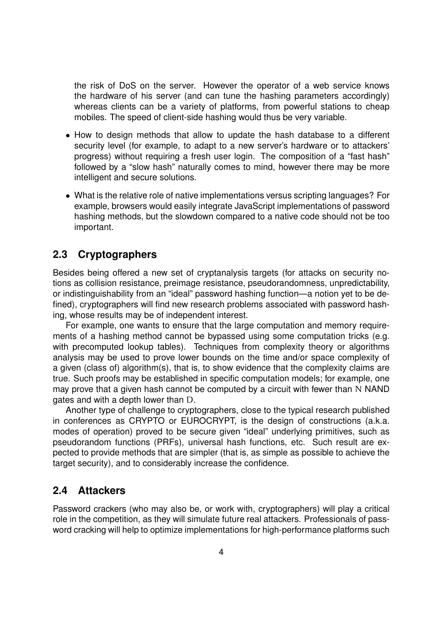the risk of DoS on the server. However the operator of a web service knows the hardware of his server (and can tune the hashing parameters accordingly) whereas clients can be a variety of platforms, from powerful stations to cheap mobiles. The speed of client-side hashing would thus be very variable.

- How to design methods that allow to update the hash database to a different security level (for example, to adapt to a new server's hardware or to attackers' progress) without requiring a fresh user login. The composition of a "fast hash" followed by a "slow hash" naturally comes to mind, however there may be more intelligent and secure solutions.
- What is the relative role of native implementations versus scripting languages? For example, browsers would easily integrate JavaScript implementations of password hashing methods, but the slowdown compared to a native code should not be too important.

## **2.3 Cryptographers**

Besides being offered a new set of cryptanalysis targets (for attacks on security notions as collision resistance, preimage resistance, pseudorandomness, unpredictability, or indistinguishability from an "ideal" password hashing function—a notion yet to be defined), cryptographers will find new research problems associated with password hashing, whose results may be of independent interest.

For example, one wants to ensure that the large computation and memory requirements of a hashing method cannot be bypassed using some computation tricks (e.g. with precomputed lookup tables). Techniques from complexity theory or algorithms analysis may be used to prove lower bounds on the time and/or space complexity of a given (class of) algorithm(s), that is, to show evidence that the complexity claims are true. Such proofs may be established in specific computation models; for example, one may prove that a given hash cannot be computed by a circuit with fewer than N NAND gates and with a depth lower than D.

Another type of challenge to cryptographers, close to the typical research published in conferences as CRYPTO or EUROCRYPT, is the design of constructions (a.k.a. modes of operation) proved to be secure given "ideal" underlying primitives, such as pseudorandom functions (PRFs), universal hash functions, etc. Such result are expected to provide methods that are simpler (that is, as simple as possible to achieve the target security), and to considerably increase the confidence.

## **2.4 Attackers**

Password crackers (who may also be, or work with, cryptographers) will play a critical role in the competition, as they will simulate future real attackers. Professionals of password cracking will help to optimize implementations for high-performance platforms such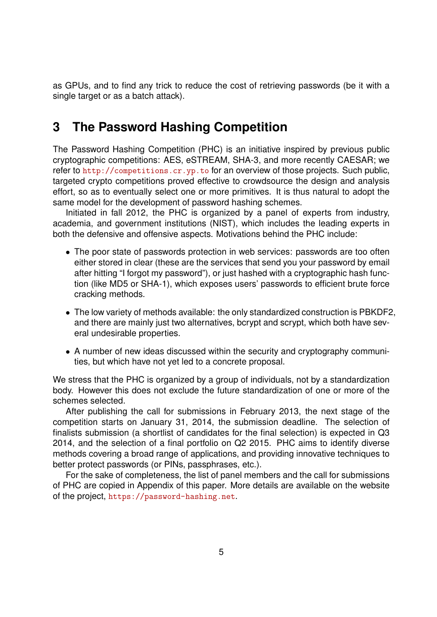as GPUs, and to find any trick to reduce the cost of retrieving passwords (be it with a single target or as a batch attack).

# **3 The Password Hashing Competition**

The Password Hashing Competition (PHC) is an initiative inspired by previous public cryptographic competitions: AES, eSTREAM, SHA-3, and more recently CAESAR; we refer to <http://competitions.cr.yp.to> for an overview of those projects. Such public, targeted crypto competitions proved effective to crowdsource the design and analysis effort, so as to eventually select one or more primitives. It is thus natural to adopt the same model for the development of password hashing schemes.

Initiated in fall 2012, the PHC is organized by a panel of experts from industry, academia, and government institutions (NIST), which includes the leading experts in both the defensive and offensive aspects. Motivations behind the PHC include:

- The poor state of passwords protection in web services: passwords are too often either stored in clear (these are the services that send you your password by email after hitting "I forgot my password"), or just hashed with a cryptographic hash function (like MD5 or SHA-1), which exposes users' passwords to efficient brute force cracking methods.
- The low variety of methods available: the only standardized construction is PBKDF2, and there are mainly just two alternatives, bcrypt and scrypt, which both have several undesirable properties.
- A number of new ideas discussed within the security and cryptography communities, but which have not yet led to a concrete proposal.

We stress that the PHC is organized by a group of individuals, not by a standardization body. However this does not exclude the future standardization of one or more of the schemes selected.

After publishing the call for submissions in February 2013, the next stage of the competition starts on January 31, 2014, the submission deadline. The selection of finalists submission (a shortlist of candidates for the final selection) is expected in Q3 2014, and the selection of a final portfolio on Q2 2015. PHC aims to identify diverse methods covering a broad range of applications, and providing innovative techniques to better protect passwords (or PINs, passphrases, etc.).

For the sake of completeness, the list of panel members and the call for submissions of PHC are copied in Appendix of this paper. More details are available on the website of the project, <https://password-hashing.net>.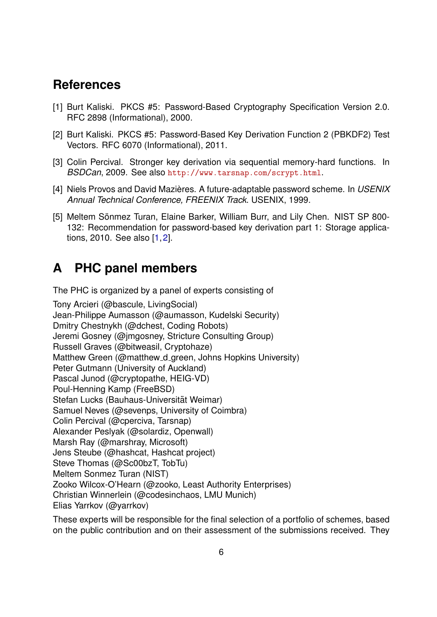# **References**

- <span id="page-5-3"></span>[1] Burt Kaliski. PKCS #5: Password-Based Cryptography Specification Version 2.0. RFC 2898 (Informational), 2000.
- <span id="page-5-4"></span>[2] Burt Kaliski. PKCS #5: Password-Based Key Derivation Function 2 (PBKDF2) Test Vectors. RFC 6070 (Informational), 2011.
- <span id="page-5-2"></span>[3] Colin Percival. Stronger key derivation via sequential memory-hard functions. In *BSDCan*, 2009. See also <http://www.tarsnap.com/scrypt.html>.
- <span id="page-5-1"></span>[4] Niels Provos and David Mazieres. A future-adaptable password scheme. In ` *USENIX Annual Technical Conference, FREENIX Track*. USENIX, 1999.
- <span id="page-5-0"></span>[5] Meltem Sönmez Turan, Elaine Barker, William Burr, and Lily Chen. NIST SP 800-132: Recommendation for password-based key derivation part 1: Storage applications, 2010. See also [\[1,](#page-5-3)[2\]](#page-5-4).

# **A PHC panel members**

The PHC is organized by a panel of experts consisting of

Tony Arcieri (@bascule, LivingSocial) Jean-Philippe Aumasson (@aumasson, Kudelski Security) Dmitry Chestnykh (@dchest, Coding Robots) Jeremi Gosney (@jmgosney, Stricture Consulting Group) Russell Graves (@bitweasil, Cryptohaze) Matthew Green (@matthew\_d\_green, Johns Hopkins University) Peter Gutmann (University of Auckland) Pascal Junod (@cryptopathe, HEIG-VD) Poul-Henning Kamp (FreeBSD) Stefan Lucks (Bauhaus-Universität Weimar) Samuel Neves (@sevenps, University of Coimbra) Colin Percival (@cperciva, Tarsnap) Alexander Peslyak (@solardiz, Openwall) Marsh Ray (@marshray, Microsoft) Jens Steube (@hashcat, Hashcat project) Steve Thomas (@Sc00bzT, TobTu) Meltem Sonmez Turan (NIST) Zooko Wilcox-O'Hearn (@zooko, Least Authority Enterprises) Christian Winnerlein (@codesinchaos, LMU Munich) Elias Yarrkov (@yarrkov)

These experts will be responsible for the final selection of a portfolio of schemes, based on the public contribution and on their assessment of the submissions received. They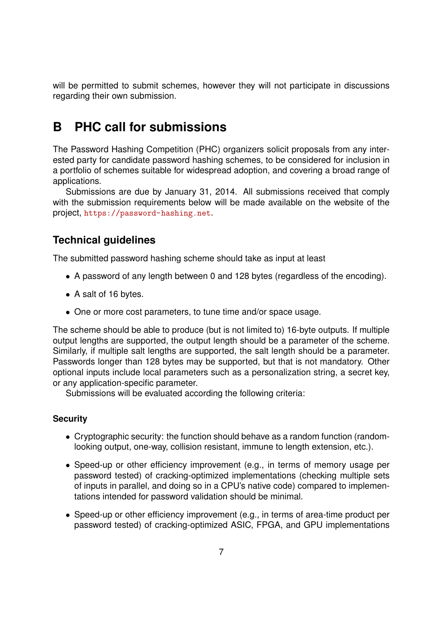will be permitted to submit schemes, however they will not participate in discussions regarding their own submission.

# **B PHC call for submissions**

The Password Hashing Competition (PHC) organizers solicit proposals from any interested party for candidate password hashing schemes, to be considered for inclusion in a portfolio of schemes suitable for widespread adoption, and covering a broad range of applications.

Submissions are due by January 31, 2014. All submissions received that comply with the submission requirements below will be made available on the website of the project, <https://password-hashing.net>.

## **Technical guidelines**

The submitted password hashing scheme should take as input at least

- A password of any length between 0 and 128 bytes (regardless of the encoding).
- A salt of 16 bytes.
- One or more cost parameters, to tune time and/or space usage.

The scheme should be able to produce (but is not limited to) 16-byte outputs. If multiple output lengths are supported, the output length should be a parameter of the scheme. Similarly, if multiple salt lengths are supported, the salt length should be a parameter. Passwords longer than 128 bytes may be supported, but that is not mandatory. Other optional inputs include local parameters such as a personalization string, a secret key, or any application-specific parameter.

Submissions will be evaluated according the following criteria:

#### **Security**

- Cryptographic security: the function should behave as a random function (randomlooking output, one-way, collision resistant, immune to length extension, etc.).
- Speed-up or other efficiency improvement (e.g., in terms of memory usage per password tested) of cracking-optimized implementations (checking multiple sets of inputs in parallel, and doing so in a CPU's native code) compared to implementations intended for password validation should be minimal.
- Speed-up or other efficiency improvement (e.g., in terms of area-time product per password tested) of cracking-optimized ASIC, FPGA, and GPU implementations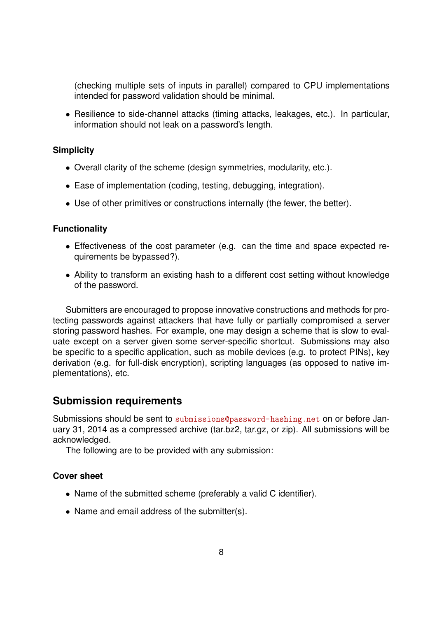(checking multiple sets of inputs in parallel) compared to CPU implementations intended for password validation should be minimal.

• Resilience to side-channel attacks (timing attacks, leakages, etc.). In particular, information should not leak on a password's length.

#### **Simplicity**

- Overall clarity of the scheme (design symmetries, modularity, etc.).
- Ease of implementation (coding, testing, debugging, integration).
- Use of other primitives or constructions internally (the fewer, the better).

#### **Functionality**

- Effectiveness of the cost parameter (e.g. can the time and space expected requirements be bypassed?).
- Ability to transform an existing hash to a different cost setting without knowledge of the password.

Submitters are encouraged to propose innovative constructions and methods for protecting passwords against attackers that have fully or partially compromised a server storing password hashes. For example, one may design a scheme that is slow to evaluate except on a server given some server-specific shortcut. Submissions may also be specific to a specific application, such as mobile devices (e.g. to protect PINs), key derivation (e.g. for full-disk encryption), scripting languages (as opposed to native implementations), etc.

### **Submission requirements**

Submissions should be sent to <submissions@password-hashing.net> on or before January 31, 2014 as a compressed archive (tar.bz2, tar.gz, or zip). All submissions will be acknowledged.

The following are to be provided with any submission:

#### **Cover sheet**

- Name of the submitted scheme (preferably a valid C identifier).
- Name and email address of the submitter(s).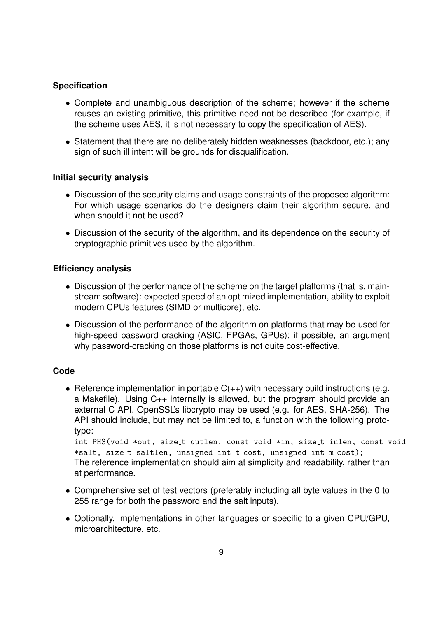#### **Specification**

- Complete and unambiguous description of the scheme; however if the scheme reuses an existing primitive, this primitive need not be described (for example, if the scheme uses AES, it is not necessary to copy the specification of AES).
- Statement that there are no deliberately hidden weaknesses (backdoor, etc.); any sign of such ill intent will be grounds for disqualification.

#### **Initial security analysis**

- Discussion of the security claims and usage constraints of the proposed algorithm: For which usage scenarios do the designers claim their algorithm secure, and when should it not be used?
- Discussion of the security of the algorithm, and its dependence on the security of cryptographic primitives used by the algorithm.

#### **Efficiency analysis**

- Discussion of the performance of the scheme on the target platforms (that is, mainstream software): expected speed of an optimized implementation, ability to exploit modern CPUs features (SIMD or multicore), etc.
- Discussion of the performance of the algorithm on platforms that may be used for high-speed password cracking (ASIC, FPGAs, GPUs); if possible, an argument why password-cracking on those platforms is not quite cost-effective.

#### **Code**

• Reference implementation in portable  $C(++)$  with necessary build instructions (e.g. a Makefile). Using C++ internally is allowed, but the program should provide an external C API. OpenSSL's libcrypto may be used (e.g. for AES, SHA-256). The API should include, but may not be limited to, a function with the following prototype:

int PHS(void \*out, size\_t outlen, const void \*in, size\_t inlen, const void \*salt, size\_t saltlen, unsigned int t\_cost, unsigned int m\_cost); The reference implementation should aim at simplicity and readability, rather than at performance.

- Comprehensive set of test vectors (preferably including all byte values in the 0 to 255 range for both the password and the salt inputs).
- Optionally, implementations in other languages or specific to a given CPU/GPU, microarchitecture, etc.